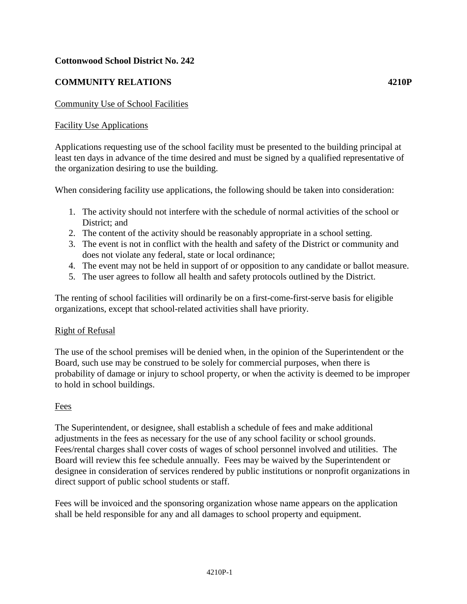## **Cottonwood School District No. 242**

# **COMMUNITY RELATIONS 4210P**

## Community Use of School Facilities

#### Facility Use Applications

Applications requesting use of the school facility must be presented to the building principal at least ten days in advance of the time desired and must be signed by a qualified representative of the organization desiring to use the building.

When considering facility use applications, the following should be taken into consideration:

- 1. The activity should not interfere with the schedule of normal activities of the school or District; and
- 2. The content of the activity should be reasonably appropriate in a school setting.
- 3. The event is not in conflict with the health and safety of the District or community and does not violate any federal, state or local ordinance;
- 4. The event may not be held in support of or opposition to any candidate or ballot measure.
- 5. The user agrees to follow all health and safety protocols outlined by the District.

The renting of school facilities will ordinarily be on a first-come-first-serve basis for eligible organizations, except that school-related activities shall have priority.

#### Right of Refusal

The use of the school premises will be denied when, in the opinion of the Superintendent or the Board, such use may be construed to be solely for commercial purposes, when there is probability of damage or injury to school property, or when the activity is deemed to be improper to hold in school buildings.

#### Fees

The Superintendent, or designee, shall establish a schedule of fees and make additional adjustments in the fees as necessary for the use of any school facility or school grounds. Fees/rental charges shall cover costs of wages of school personnel involved and utilities. The Board will review this fee schedule annually. Fees may be waived by the Superintendent or designee in consideration of services rendered by public institutions or nonprofit organizations in direct support of public school students or staff.

Fees will be invoiced and the sponsoring organization whose name appears on the application shall be held responsible for any and all damages to school property and equipment.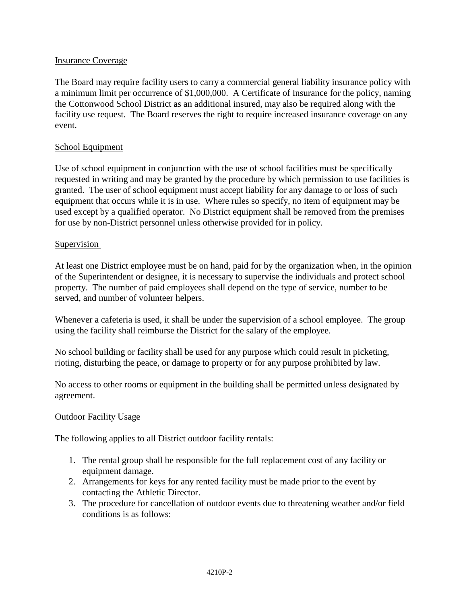### Insurance Coverage

The Board may require facility users to carry a commercial general liability insurance policy with a minimum limit per occurrence of \$1,000,000. A Certificate of Insurance for the policy, naming the Cottonwood School District as an additional insured, may also be required along with the facility use request. The Board reserves the right to require increased insurance coverage on any event.

## School Equipment

Use of school equipment in conjunction with the use of school facilities must be specifically requested in writing and may be granted by the procedure by which permission to use facilities is granted. The user of school equipment must accept liability for any damage to or loss of such equipment that occurs while it is in use. Where rules so specify, no item of equipment may be used except by a qualified operator. No District equipment shall be removed from the premises for use by non-District personnel unless otherwise provided for in policy.

#### Supervision

At least one District employee must be on hand, paid for by the organization when, in the opinion of the Superintendent or designee, it is necessary to supervise the individuals and protect school property. The number of paid employees shall depend on the type of service, number to be served, and number of volunteer helpers.

Whenever a cafeteria is used, it shall be under the supervision of a school employee. The group using the facility shall reimburse the District for the salary of the employee.

No school building or facility shall be used for any purpose which could result in picketing, rioting, disturbing the peace, or damage to property or for any purpose prohibited by law.

No access to other rooms or equipment in the building shall be permitted unless designated by agreement.

#### Outdoor Facility Usage

The following applies to all District outdoor facility rentals:

- 1. The rental group shall be responsible for the full replacement cost of any facility or equipment damage.
- 2. Arrangements for keys for any rented facility must be made prior to the event by contacting the Athletic Director.
- 3. The procedure for cancellation of outdoor events due to threatening weather and/or field conditions is as follows: